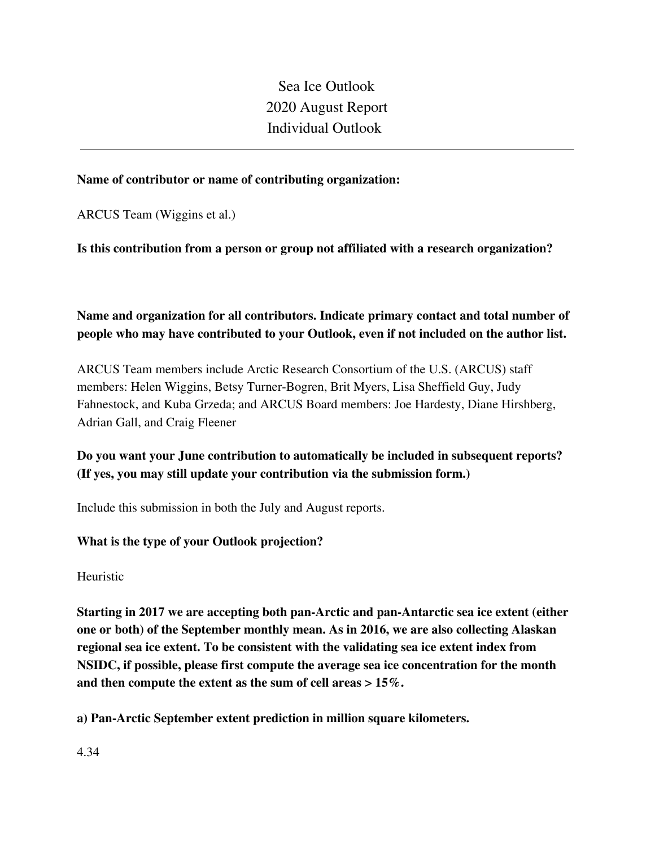Sea Ice Outlook 2020 August Report Individual Outlook

#### **Name of contributor or name of contributing organization:**

ARCUS Team (Wiggins et al.)

### **Is this contribution from a person or group not affiliated with a research organization?**

# **Name and organization for all contributors. Indicate primary contact and total number of people who may have contributed to your Outlook, even if not included on the author list.**

ARCUS Team members include Arctic Research Consortium of the U.S. (ARCUS) staff members: Helen Wiggins, Betsy Turner-Bogren, Brit Myers, Lisa Sheffield Guy, Judy Fahnestock, and Kuba Grzeda; and ARCUS Board members: Joe Hardesty, Diane Hirshberg, Adrian Gall, and Craig Fleener

# **Do you want your June contribution to automatically be included in subsequent reports? (If yes, you may still update your contribution via the submission form.)**

Include this submission in both the July and August reports.

## **What is the type of your Outlook projection?**

Heuristic

**Starting in 2017 we are accepting both pan-Arctic and pan-Antarctic sea ice extent (either one or both) of the September monthly mean. As in 2016, we are also collecting Alaskan regional sea ice extent. To be consistent with the validating sea ice extent index from NSIDC, if possible, please first compute the average sea ice concentration for the month and then compute the extent as the sum of cell areas > 15%.**

**a) Pan-Arctic September extent prediction in million square kilometers.**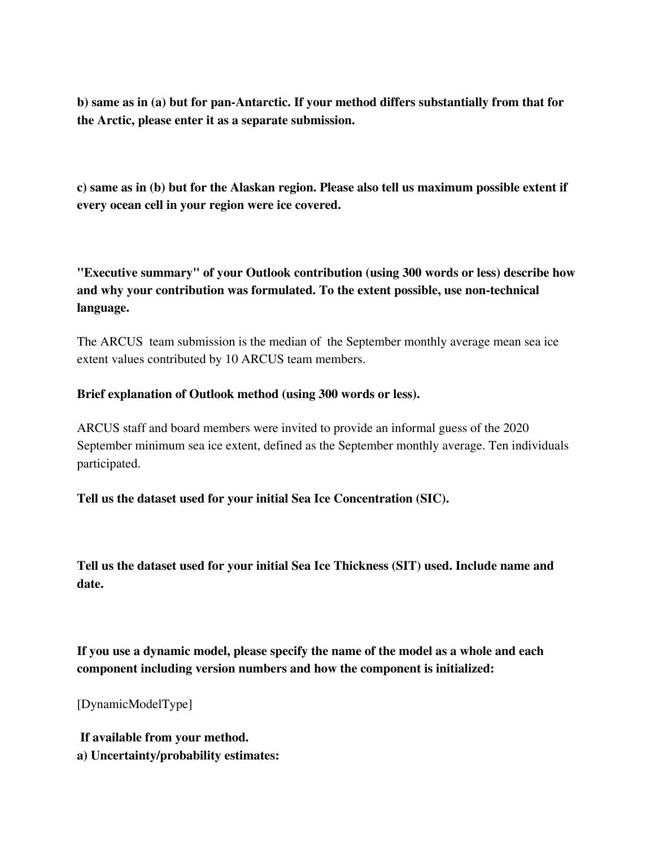**b) same as in (a) but for pan-Antarctic. If your method differs substantially from that for the Arctic, please enter it as a separate submission.**

**c) same as in (b) but for the Alaskan region. Please also tell us maximum possible extent if every ocean cell in your region were ice covered.**

**"Executive summary" of your Outlook contribution (using 300 words or less) describe how and why your contribution was formulated. To the extent possible, use non-technical language.**

The ARCUS team submission is the median of the September monthly average mean sea ice extent values contributed by 10 ARCUS team members.

#### **Brief explanation of Outlook method (using 300 words or less).**

ARCUS staff and board members were invited to provide an informal guess of the 2020 September minimum sea ice extent, defined as the September monthly average. Ten individuals participated.

**Tell us the dataset used for your initial Sea Ice Concentration (SIC).**

**Tell us the dataset used for your initial Sea Ice Thickness (SIT) used. Include name and date.**

**If you use a dynamic model, please specify the name of the model as a whole and each component including version numbers and how the component is initialized:**

[DynamicModelType]

**If available from your method. a) Uncertainty/probability estimates:**